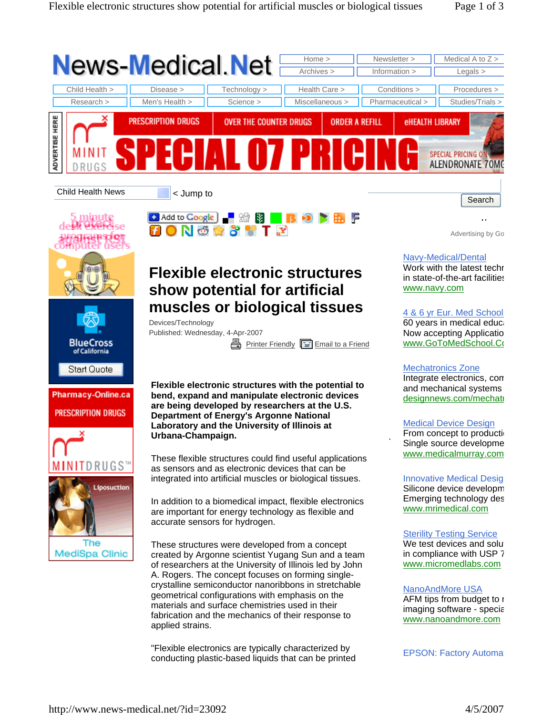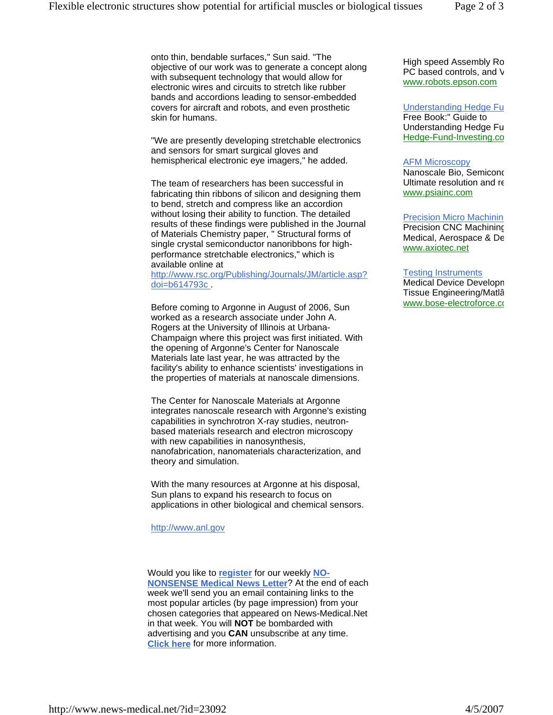onto thin, bendable surfaces," Sun said. "The objective of our work was to generate a concept along with subsequent technology that would allow for electronic wires and circuits to stretch like rubber bands and accordions leading to sensor-embedded covers for aircraft and robots, and even prosthetic skin for humans.

"We are presently developing stretchable electronics and sensors for smart surgical gloves and hemispherical electronic eye imagers," he added.

The team of researchers has been successful in fabricating thin ribbons of silicon and designing them to bend, stretch and compress like an accordion without losing their ability to function. The detailed results of these findings were published in the Journal of Materials Chemistry paper, " Structural forms of single crystal semiconductor nanoribbons for highperformance stretchable electronics," which is available online at

http://www.rsc.org/Publishing/Journals/JM/article.asp? doi=b614793c .

Before coming to Argonne in August of 2006, Sun worked as a research associate under John A. Rogers at the University of Illinois at Urbana-Champaign where this project was first initiated. With the opening of Argonne's Center for Nanoscale Materials late last year, he was attracted by the facility's ability to enhance scientists' investigations in the properties of materials at nanoscale dimensions.

The Center for Nanoscale Materials at Argonne integrates nanoscale research with Argonne's existing capabilities in synchrotron X-ray studies, neutronbased materials research and electron microscopy with new capabilities in nanosynthesis, nanofabrication, nanomaterials characterization, and theory and simulation.

With the many resources at Argonne at his disposal, Sun plans to expand his research to focus on applications in other biological and chemical sensors.

http://www.anl.gov

Would you like to **register** for our weekly **NO-NONSENSE Medical News Letter**? At the end of each week we'll send you an email containing links to the most popular articles (by page impression) from your chosen categories that appeared on News-Medical.Net in that week. You will **NOT** be bombarded with advertising and you **CAN** unsubscribe at any time. **Click here** for more information.

High speed Assembly Ro PC based controls, and V www.robots.epson.com

Understanding Hedge Fu Free Book:" Guide to Understanding Hedge Fu Hedge-Fund-Investing.co

## AFM Microscopy

Nanoscale Bio, Semicond Ultimate resolution and re www.psiainc.com

**Precision Micro Machinin** 

Precision CNC Machining Medical, Aerospace & De www.axiotec.net

## Testing Instruments

Medical Device Developm Tissue Engineering/Matlâ www.bose-electroforce.co